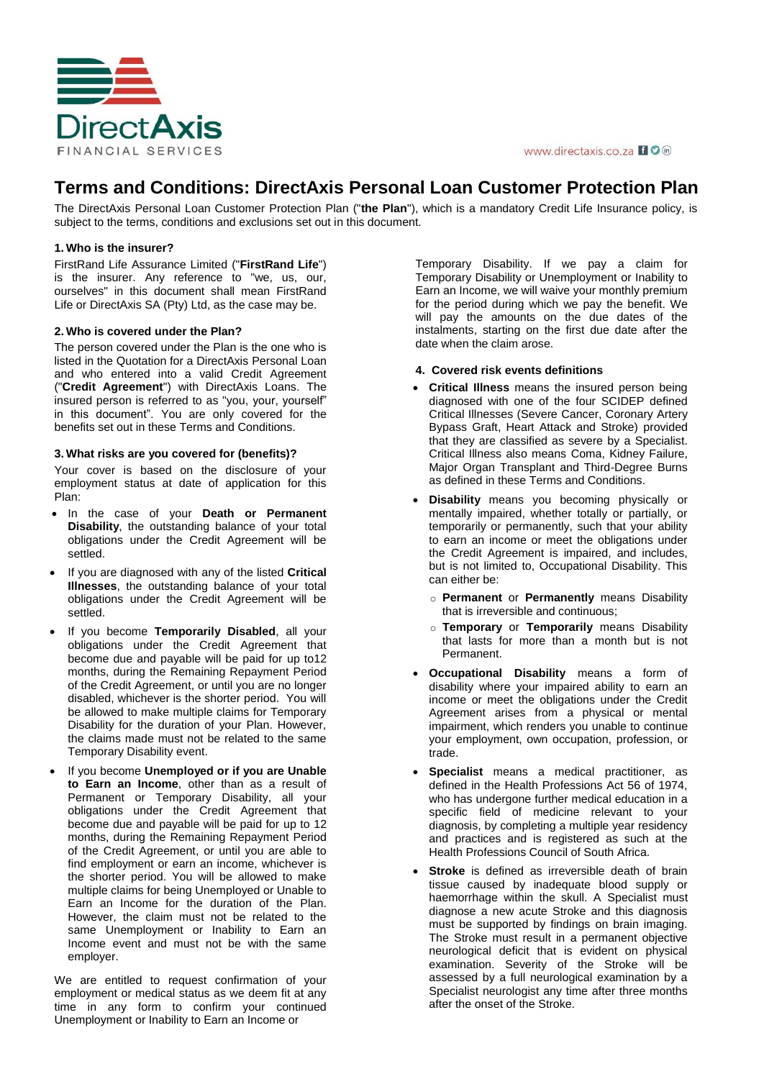

#### www.directaxis.co.za I O in

# **Terms and Conditions: DirectAxis Personal Loan Customer Protection Plan**

The DirectAxis Personal Loan Customer Protection Plan ("**the Plan**"), which is a mandatory Credit Life Insurance policy, is subject to the terms, conditions and exclusions set out in this document.

# **1. Who is the insurer?**

FirstRand Life Assurance Limited ("**FirstRand Life**") is the insurer. Any reference to "we, us, our, ourselves" in this document shall mean FirstRand Life or DirectAxis SA (Pty) Ltd, as the case may be.

# **2. Who is covered under the Plan?**

The person covered under the Plan is the one who is listed in the Quotation for a DirectAxis Personal Loan and who entered into a valid Credit Agreement ("**Credit Agreement**") with DirectAxis Loans. The insured person is referred to as "you, your, yourself" in this document". You are only covered for the benefits set out in these Terms and Conditions.

# **3. What risks are you covered for (benefits)?**

Your cover is based on the disclosure of your employment status at date of application for this Plan:

- In the case of your **Death or Permanent Disability**, the outstanding balance of your total obligations under the Credit Agreement will be settled.
- If you are diagnosed with any of the listed **Critical Illnesses**, the outstanding balance of your total obligations under the Credit Agreement will be settled.
- If you become **Temporarily Disabled**, all your obligations under the Credit Agreement that become due and payable will be paid for up to12 months, during the Remaining Repayment Period of the Credit Agreement, or until you are no longer disabled, whichever is the shorter period. You will be allowed to make multiple claims for Temporary Disability for the duration of your Plan. However, the claims made must not be related to the same Temporary Disability event.
- If you become **Unemployed or if you are Unable to Earn an Income**, other than as a result of Permanent or Temporary Disability, all your obligations under the Credit Agreement that become due and payable will be paid for up to 12 months, during the Remaining Repayment Period of the Credit Agreement, or until you are able to find employment or earn an income, whichever is the shorter period. You will be allowed to make multiple claims for being Unemployed or Unable to Earn an Income for the duration of the Plan. However, the claim must not be related to the same Unemployment or Inability to Earn an Income event and must not be with the same employer.

We are entitled to request confirmation of your employment or medical status as we deem fit at any time in any form to confirm your continued Unemployment or Inability to Earn an Income or

Temporary Disability. If we pay a claim for Temporary Disability or Unemployment or Inability to Earn an Income, we will waive your monthly premium for the period during which we pay the benefit. We will pay the amounts on the due dates of the instalments, starting on the first due date after the date when the claim arose.

# **4. Covered risk events definitions**

- **Critical Illness** means the insured person being diagnosed with one of the four SCIDEP defined Critical Illnesses (Severe Cancer, Coronary Artery Bypass Graft, Heart Attack and Stroke) provided that they are classified as severe by a Specialist. Critical Illness also means Coma, Kidney Failure, Major Organ Transplant and Third-Degree Burns as defined in these Terms and Conditions.
- **Disability** means you becoming physically or mentally impaired, whether totally or partially, or temporarily or permanently, such that your ability to earn an income or meet the obligations under the Credit Agreement is impaired, and includes, but is not limited to, Occupational Disability. This can either be:
	- o **Permanent** or **Permanently** means Disability that is irreversible and continuous;
	- o **Temporary** or **Temporarily** means Disability that lasts for more than a month but is not Permanent.
- **Occupational Disability** means a form of disability where your impaired ability to earn an income or meet the obligations under the Credit Agreement arises from a physical or mental impairment, which renders you unable to continue your employment, own occupation, profession, or trade.
- Specialist means a medical practitioner, as defined in the Health Professions Act 56 of 1974, who has undergone further medical education in a specific field of medicine relevant to your diagnosis, by completing a multiple year residency and practices and is registered as such at the Health Professions Council of South Africa.
- **Stroke** is defined as irreversible death of brain tissue caused by inadequate blood supply or haemorrhage within the skull. A Specialist must diagnose a new acute Stroke and this diagnosis must be supported by findings on brain imaging. The Stroke must result in a permanent objective neurological deficit that is evident on physical examination. Severity of the Stroke will be assessed by a full neurological examination by a Specialist neurologist any time after three months after the onset of the Stroke.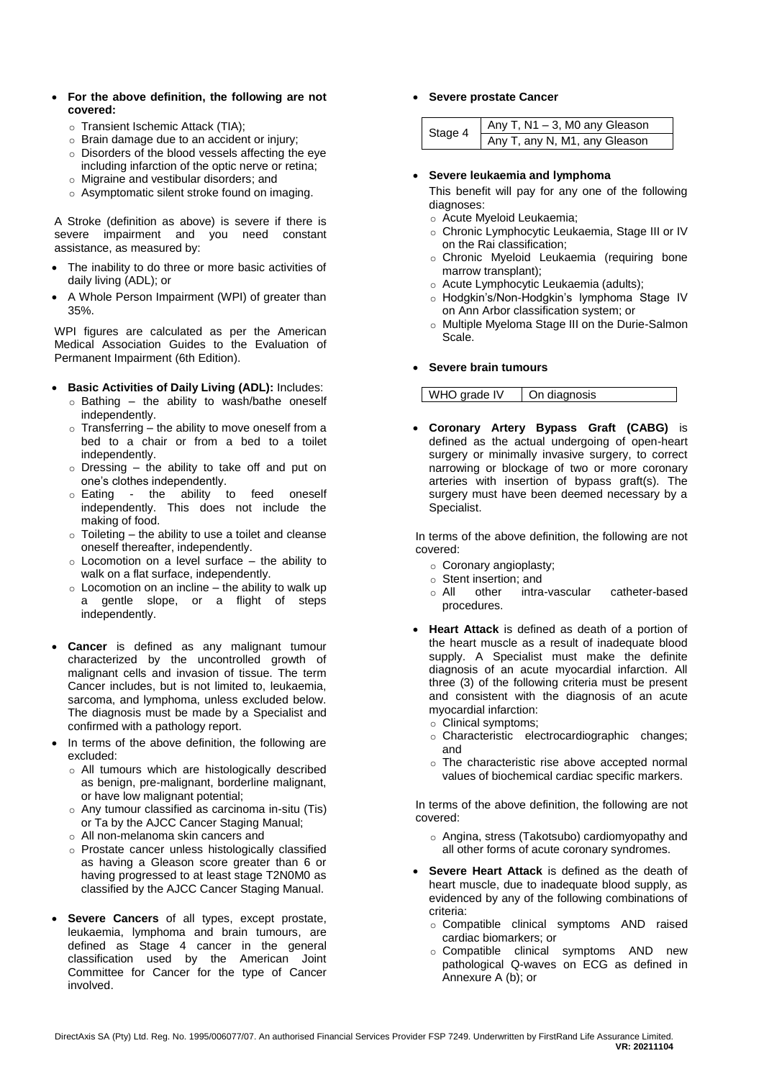- **For the above definition, the following are not covered:**
	- o Transient Ischemic Attack (TIA);
	- o Brain damage due to an accident or injury;
	- o Disorders of the blood vessels affecting the eye including infarction of the optic nerve or retina;
	- o Migraine and vestibular disorders; and
	- o Asymptomatic silent stroke found on imaging.

A Stroke (definition as above) is severe if there is severe impairment and you need constant assistance, as measured by:

- The inability to do three or more basic activities of daily living (ADL); or
- A Whole Person Impairment (WPI) of greater than 35%.

WPI figures are calculated as per the American Medical Association Guides to the Evaluation of Permanent Impairment (6th Edition).

- **Basic Activities of Daily Living (ADL):** Includes:
	- $\circ$  Bathing the ability to wash/bathe oneself independently.
	- $\circ$  Transferring the ability to move oneself from a bed to a chair or from a bed to a toilet independently.
	- $\circ$  Dressing the ability to take off and put on one's clothes independently.
	- o Eating the ability to feed oneself independently. This does not include the making of food.
	- $\circ$  Toileting the ability to use a toilet and cleanse oneself thereafter, independently.
	- $\circ$  Locomotion on a level surface the ability to walk on a flat surface, independently.
	- $\circ$  Locomotion on an incline the ability to walk up a gentle slope, or a flight of steps independently.
- **Cancer** is defined as any malignant tumour characterized by the uncontrolled growth of malignant cells and invasion of tissue. The term Cancer includes, but is not limited to, leukaemia, sarcoma, and lymphoma, unless excluded below. The diagnosis must be made by a Specialist and confirmed with a pathology report.
- In terms of the above definition, the following are excluded:
	- o All tumours which are histologically described as benign, pre-malignant, borderline malignant, or have low malignant potential;
	- o Any tumour classified as carcinoma in-situ (Tis) or Ta by the AJCC Cancer Staging Manual;
	- o All non-melanoma skin cancers and
	- o Prostate cancer unless histologically classified as having a Gleason score greater than 6 or having progressed to at least stage T2N0M0 as classified by the AJCC Cancer Staging Manual.
- **Severe Cancers** of all types, except prostate, leukaemia, lymphoma and brain tumours, are defined as Stage 4 cancer in the general classification used by the American Joint Committee for Cancer for the type of Cancer involved.

### **Severe prostate Cancer**

| Stage 4 | $Any T, N1 - 3, M0 any Gleason$ |  |
|---------|---------------------------------|--|
|         | Any T, any N, M1, any Gleason   |  |

#### **Severe leukaemia and lymphoma**

This benefit will pay for any one of the following diagnoses:

- o Acute Myeloid Leukaemia;
- o Chronic Lymphocytic Leukaemia, Stage III or IV on the Rai classification;
- o Chronic Myeloid Leukaemia (requiring bone marrow transplant);
- o Acute Lymphocytic Leukaemia (adults);
- o Hodgkin's/Non-Hodgkin's lymphoma Stage IV on Ann Arbor classification system; or
- o Multiple Myeloma Stage III on the Durie-Salmon Scale.

# **Severe brain tumours**

| WHO grade IV | On diagnosis |
|--------------|--------------|
|              |              |

 **Coronary Artery Bypass Graft (CABG)** is defined as the actual undergoing of open-heart surgery or minimally invasive surgery, to correct narrowing or blockage of two or more coronary arteries with insertion of bypass graft(s). The surgery must have been deemed necessary by a Specialist.

In terms of the above definition, the following are not covered:

- o Coronary angioplasty;
- o Stent insertion; and
- o All other intra-vascular catheter-based procedures.
- **Heart Attack** is defined as death of a portion of the heart muscle as a result of inadequate blood supply. A Specialist must make the definite diagnosis of an acute myocardial infarction. All three (3) of the following criteria must be present and consistent with the diagnosis of an acute myocardial infarction:
	- o Clinical symptoms;
	- o Characteristic electrocardiographic changes; and
	- o The characteristic rise above accepted normal values of biochemical cardiac specific markers.

In terms of the above definition, the following are not covered:

- o Angina, stress (Takotsubo) cardiomyopathy and all other forms of acute coronary syndromes.
- **Severe Heart Attack** is defined as the death of heart muscle, due to inadequate blood supply, as evidenced by any of the following combinations of criteria:
	- o Compatible clinical symptoms AND raised cardiac biomarkers; or
	- o Compatible clinical symptoms AND new pathological Q-waves on ECG as defined in Annexure A (b); or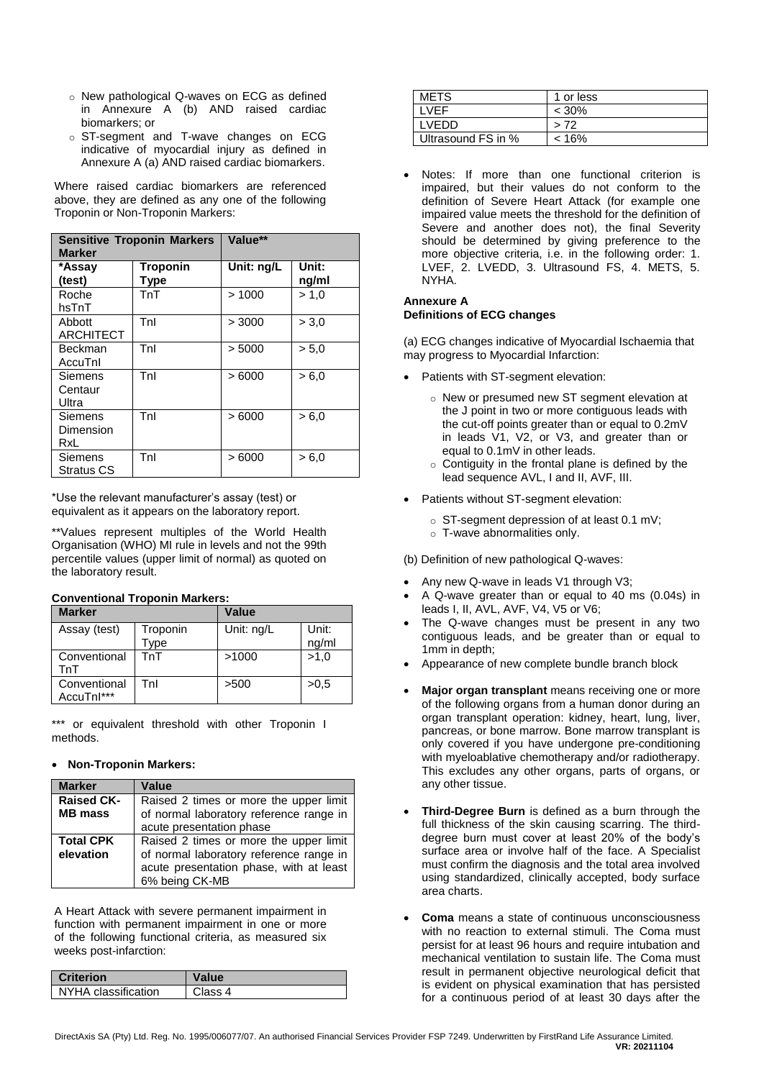- o New pathological Q-waves on ECG as defined in Annexure A (b) AND raised cardiac biomarkers; or
- o ST-segment and T-wave changes on ECG indicative of myocardial injury as defined in Annexure A (a) AND raised cardiac biomarkers.

Where raised cardiac biomarkers are referenced above, they are defined as any one of the following Troponin or Non-Troponin Markers:

| <b>Sensitive Troponin Markers</b><br><b>Marker</b> |                         | Value**    |                |
|----------------------------------------------------|-------------------------|------------|----------------|
| *Assay<br>(test)                                   | <b>Troponin</b><br>Type | Unit: ng/L | Unit:<br>ng/ml |
| Roche<br>hsTnT                                     | TnT                     | >1000      | > 1.0          |
| Abbott<br><b>ARCHITECT</b>                         | Tnl                     | > 3000     | > 3.0          |
| Beckman<br>AccuTnl                                 | Tnl                     | > 5000     | > 5.0          |
| Siemens<br>Centaur<br>Ultra                        | Tnl                     | >6000      | > 6.0          |
| Siemens<br>Dimension<br>RxL                        | Tnl                     | >6000      | > 6.0          |
| Siemens<br><b>Stratus CS</b>                       | Tnl                     | >6000      | > 6.0          |

\*Use the relevant manufacturer's assay (test) or equivalent as it appears on the laboratory report.

\*\*Values represent multiples of the World Health Organisation (WHO) MI rule in levels and not the 99th percentile values (upper limit of normal) as quoted on the laboratory result.

# **Conventional Troponin Markers:**

| <b>Marker</b>              |                 | Value      |                |
|----------------------------|-----------------|------------|----------------|
| Assay (test)               | Troponin<br>ype | Unit: ng/L | Unit:<br>ng/ml |
| Conventional<br>TnT        | TnT             | >1000      | >1.0           |
| Conventional<br>AccuTnl*** | Tnl             | >500       | >0.5           |

\*\*\* or equivalent threshold with other Troponin I methods.

# **Non-Troponin Markers:**

| <b>Marker</b>                       | Value                                                                                                                                          |
|-------------------------------------|------------------------------------------------------------------------------------------------------------------------------------------------|
| <b>Raised CK-</b><br><b>MB</b> mass | Raised 2 times or more the upper limit<br>of normal laboratory reference range in                                                              |
|                                     | acute presentation phase                                                                                                                       |
| <b>Total CPK</b><br>elevation       | Raised 2 times or more the upper limit<br>of normal laboratory reference range in<br>acute presentation phase, with at least<br>6% being CK-MB |

A Heart Attack with severe permanent impairment in function with permanent impairment in one or more of the following functional criteria, as measured six weeks post-infarction:

| <b>Criterion</b>      | <b>Value</b> |
|-----------------------|--------------|
| I NYHA classification | Class 4      |

| <b>METS</b>        | 1 or less |
|--------------------|-----------|
| <b>VEF</b>         | $< 30\%$  |
| I VEDD.            | > 72      |
| Ultrasound FS in % | $< 16\%$  |

 Notes: If more than one functional criterion is impaired, but their values do not conform to the definition of Severe Heart Attack (for example one impaired value meets the threshold for the definition of Severe and another does not), the final Severity should be determined by giving preference to the more objective criteria, i.e. in the following order: 1. LVEF, 2. LVEDD, 3. Ultrasound FS, 4. METS, 5. NYHA.

# **Annexure A Definitions of ECG changes**

(a) ECG changes indicative of Myocardial Ischaemia that may progress to Myocardial Infarction:

- Patients with ST-segment elevation:
	- o New or presumed new ST segment elevation at the J point in two or more contiguous leads with the cut-off points greater than or equal to 0.2mV in leads V1, V2, or V3, and greater than or equal to 0.1mV in other leads.
	- o Contiguity in the frontal plane is defined by the lead sequence AVL, I and II, AVF, III.
- Patients without ST-segment elevation:
	- o ST-segment depression of at least 0.1 mV;
	- o T-wave abnormalities only.

(b) Definition of new pathological Q-waves:

- Any new Q-wave in leads V1 through V3;
- A Q-wave greater than or equal to 40 ms (0.04s) in leads I, II, AVL, AVF, V4, V5 or V6;
- The Q-wave changes must be present in any two contiguous leads, and be greater than or equal to 1mm in depth;
- Appearance of new complete bundle branch block
- **Major organ transplant** means receiving one or more of the following organs from a human donor during an organ transplant operation: kidney, heart, lung, liver, pancreas, or bone marrow. Bone marrow transplant is only covered if you have undergone pre-conditioning with myeloablative chemotherapy and/or radiotherapy. This excludes any other organs, parts of organs, or any other tissue.
- **Third-Degree Burn** is defined as a burn through the full thickness of the skin causing scarring. The thirddegree burn must cover at least 20% of the body's surface area or involve half of the face. A Specialist must confirm the diagnosis and the total area involved using standardized, clinically accepted, body surface area charts.
- **Coma** means a state of continuous unconsciousness with no reaction to external stimuli. The Coma must persist for at least 96 hours and require intubation and mechanical ventilation to sustain life. The Coma must result in permanent objective neurological deficit that is evident on physical examination that has persisted for a continuous period of at least 30 days after the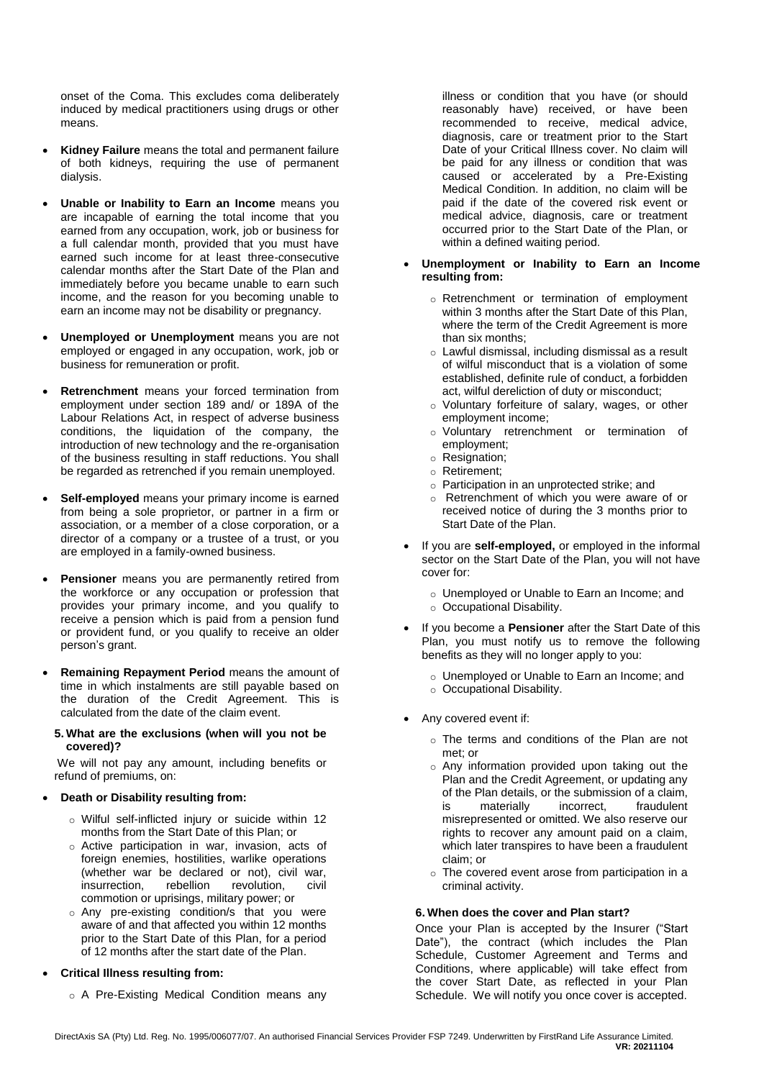onset of the Coma. This excludes coma deliberately induced by medical practitioners using drugs or other means.

- **Kidney Failure** means the total and permanent failure of both kidneys, requiring the use of permanent dialysis.
- **Unable or Inability to Earn an Income** means you are incapable of earning the total income that you earned from any occupation, work, job or business for a full calendar month, provided that you must have earned such income for at least three-consecutive calendar months after the Start Date of the Plan and immediately before you became unable to earn such income, and the reason for you becoming unable to earn an income may not be disability or pregnancy.
- **Unemployed or Unemployment** means you are not employed or engaged in any occupation, work, job or business for remuneration or profit.
- **Retrenchment** means your forced termination from employment under section 189 and/ or 189A of the Labour Relations Act, in respect of adverse business conditions, the liquidation of the company, the introduction of new technology and the re-organisation of the business resulting in staff reductions. You shall be regarded as retrenched if you remain unemployed.
- **Self-employed** means your primary income is earned from being a sole proprietor, or partner in a firm or association, or a member of a close corporation, or a director of a company or a trustee of a trust, or you are employed in a family-owned business.
- **Pensioner** means you are permanently retired from the workforce or any occupation or profession that provides your primary income, and you qualify to receive a pension which is paid from a pension fund or provident fund, or you qualify to receive an older person's grant.
- **Remaining Repayment Period** means the amount of time in which instalments are still payable based on the duration of the Credit Agreement. This is calculated from the date of the claim event.

#### **5. What are the exclusions (when will you not be covered)?**

We will not pay any amount, including benefits or refund of premiums, on:

# **Death or Disability resulting from:**

- o Wilful self-inflicted injury or suicide within 12 months from the Start Date of this Plan; or
- o Active participation in war, invasion, acts of foreign enemies, hostilities, warlike operations (whether war be declared or not), civil war, insurrection, rebellion revolution, civil commotion or uprisings, military power; or
- o Any pre-existing condition/s that you were aware of and that affected you within 12 months prior to the Start Date of this Plan, for a period of 12 months after the start date of the Plan.
- **Critical Illness resulting from:**
	- o A Pre-Existing Medical Condition means any

illness or condition that you have (or should reasonably have) received, or have been recommended to receive, medical advice, diagnosis, care or treatment prior to the Start Date of your Critical Illness cover. No claim will be paid for any illness or condition that was caused or accelerated by a Pre-Existing Medical Condition. In addition, no claim will be paid if the date of the covered risk event or medical advice, diagnosis, care or treatment occurred prior to the Start Date of the Plan, or within a defined waiting period.

#### **Unemployment or Inability to Earn an Income resulting from:**

- o Retrenchment or termination of employment within 3 months after the Start Date of this Plan, where the term of the Credit Agreement is more than six months;
- o Lawful dismissal, including dismissal as a result of wilful misconduct that is a violation of some established, definite rule of conduct, a forbidden act, wilful dereliction of duty or misconduct;
- o Voluntary forfeiture of salary, wages, or other employment income;
- o Voluntary retrenchment or termination of employment;
- o Resignation;
- o Retirement;
- o Participation in an unprotected strike; and
- o Retrenchment of which you were aware of or received notice of during the 3 months prior to Start Date of the Plan.
- If you are **self-employed,** or employed in the informal sector on the Start Date of the Plan, you will not have cover for:
	- o Unemployed or Unable to Earn an Income; and o Occupational Disability.
- If you become a **Pensioner** after the Start Date of this Plan, you must notify us to remove the following benefits as they will no longer apply to you:
	- o Unemployed or Unable to Earn an Income; and o Occupational Disability.
- Any covered event if:
	- o The terms and conditions of the Plan are not met; or
	- o Any information provided upon taking out the Plan and the Credit Agreement, or updating any of the Plan details, or the submission of a claim, is materially incorrect, fraudulent misrepresented or omitted. We also reserve our rights to recover any amount paid on a claim, which later transpires to have been a fraudulent claim; or
	- o The covered event arose from participation in a criminal activity.

# **6. When does the cover and Plan start?**

Once your Plan is accepted by the Insurer ("Start Date"), the contract (which includes the Plan Schedule, Customer Agreement and Terms and Conditions, where applicable) will take effect from the cover Start Date, as reflected in your Plan Schedule. We will notify you once cover is accepted.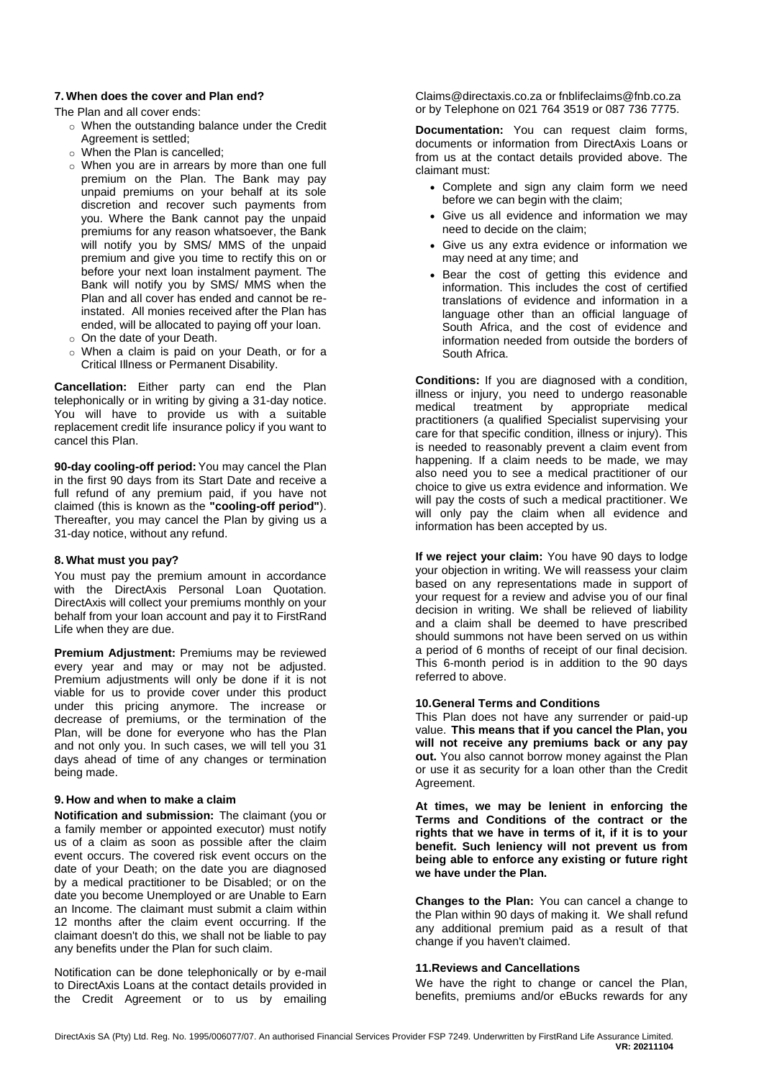#### **7. When does the cover and Plan end?**

The Plan and all cover ends:

- o When the outstanding balance under the Credit Agreement is settled;
- $\circ$  When the Plan is cancelled:
- o When you are in arrears by more than one full premium on the Plan. The Bank may pay unpaid premiums on your behalf at its sole discretion and recover such payments from you. Where the Bank cannot pay the unpaid premiums for any reason whatsoever, the Bank will notify you by SMS/ MMS of the unpaid premium and give you time to rectify this on or before your next loan instalment payment. The Bank will notify you by SMS/ MMS when the Plan and all cover has ended and cannot be reinstated. All monies received after the Plan has ended, will be allocated to paying off your loan.
- o On the date of your Death.
- When a claim is paid on your Death, or for a Critical Illness or Permanent Disability.

**Cancellation:** Either party can end the Plan telephonically or in writing by giving a 31-day notice. You will have to provide us with a suitable replacement credit life insurance policy if you want to cancel this Plan.

**90-day cooling-off period:**You may cancel the Plan in the first 90 days from its Start Date and receive a full refund of any premium paid, if you have not claimed (this is known as the **"cooling-off period"**). Thereafter, you may cancel the Plan by giving us a 31-day notice, without any refund.

# **8. What must you pay?**

You must pay the premium amount in accordance with the DirectAxis Personal Loan Quotation. DirectAxis will collect your premiums monthly on your behalf from your loan account and pay it to FirstRand Life when they are due.

**Premium Adjustment:** Premiums may be reviewed every year and may or may not be adjusted. Premium adjustments will only be done if it is not viable for us to provide cover under this product under this pricing anymore. The increase or decrease of premiums, or the termination of the Plan, will be done for everyone who has the Plan and not only you. In such cases, we will tell you 31 days ahead of time of any changes or termination being made.

#### **9. How and when to make a claim**

**Notification and submission:** The claimant (you or a family member or appointed executor) must notify us of a claim as soon as possible after the claim event occurs. The covered risk event occurs on the date of your Death; on the date you are diagnosed by a medical practitioner to be Disabled; or on the date you become Unemployed or are Unable to Earn an Income. The claimant must submit a claim within 12 months after the claim event occurring. If the claimant doesn't do this, we shall not be liable to pay any benefits under the Plan for such claim.

Notification can be done telephonically or by e-mail to DirectAxis Loans at the contact details provided in the Credit Agreement or to us by emailing

Claims@directaxis.co.za or fnblifeclaims@fnb.co.za or by Telephone on 021 764 3519 or 087 736 7775.

**Documentation:** You can request claim forms, documents or information from DirectAxis Loans or from us at the contact details provided above. The claimant must:

- Complete and sign any claim form we need before we can begin with the claim;
- Give us all evidence and information we may need to decide on the claim;
- Give us any extra evidence or information we may need at any time; and
- Bear the cost of getting this evidence and information. This includes the cost of certified translations of evidence and information in a language other than an official language of South Africa, and the cost of evidence and information needed from outside the borders of South Africa.

**Conditions:** If you are diagnosed with a condition, illness or injury, you need to undergo reasonable medical treatment by appropriate medical practitioners (a qualified Specialist supervising your care for that specific condition, illness or injury). This is needed to reasonably prevent a claim event from happening. If a claim needs to be made, we may also need you to see a medical practitioner of our choice to give us extra evidence and information. We will pay the costs of such a medical practitioner. We will only pay the claim when all evidence and information has been accepted by us.

**If we reject your claim:** You have 90 days to lodge your objection in writing. We will reassess your claim based on any representations made in support of your request for a review and advise you of our final decision in writing. We shall be relieved of liability and a claim shall be deemed to have prescribed should summons not have been served on us within a period of 6 months of receipt of our final decision. This 6-month period is in addition to the 90 days referred to above.

# **10.General Terms and Conditions**

This Plan does not have any surrender or paid-up value. **This means that if you cancel the Plan, you will not receive any premiums back or any pay out.** You also cannot borrow money against the Plan or use it as security for a loan other than the Credit Agreement.

**At times, we may be lenient in enforcing the Terms and Conditions of the contract or the rights that we have in terms of it, if it is to your benefit. Such leniency will not prevent us from being able to enforce any existing or future right we have under the Plan.**

**Changes to the Plan:** You can cancel a change to the Plan within 90 days of making it. We shall refund any additional premium paid as a result of that change if you haven't claimed.

#### **11.Reviews and Cancellations**

We have the right to change or cancel the Plan, benefits, premiums and/or eBucks rewards for any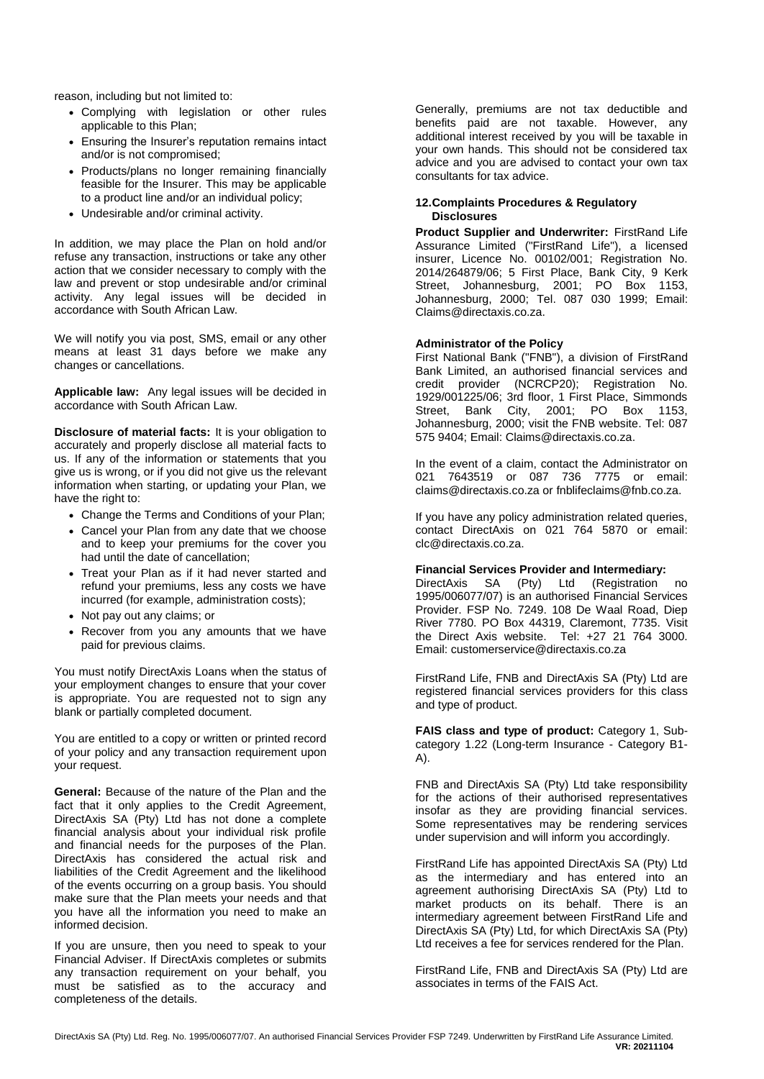reason, including but not limited to:

- Complying with legislation or other rules applicable to this Plan;
- Ensuring the Insurer's reputation remains intact and/or is not compromised;
- Products/plans no longer remaining financially feasible for the Insurer. This may be applicable to a product line and/or an individual policy;
- Undesirable and/or criminal activity.

In addition, we may place the Plan on hold and/or refuse any transaction, instructions or take any other action that we consider necessary to comply with the law and prevent or stop undesirable and/or criminal activity. Any legal issues will be decided in accordance with South African Law.

We will notify you via post, SMS, email or any other means at least 31 days before we make any changes or cancellations.

**Applicable law:** Any legal issues will be decided in accordance with South African Law.

**Disclosure of material facts:** It is your obligation to accurately and properly disclose all material facts to us. If any of the information or statements that you give us is wrong, or if you did not give us the relevant information when starting, or updating your Plan, we have the right to:

- Change the Terms and Conditions of your Plan;
- Cancel your Plan from any date that we choose and to keep your premiums for the cover you had until the date of cancellation;
- Treat your Plan as if it had never started and refund your premiums, less any costs we have incurred (for example, administration costs);
- Not pay out any claims; or
- Recover from you any amounts that we have paid for previous claims.

You must notify DirectAxis Loans when the status of your employment changes to ensure that your cover is appropriate. You are requested not to sign any blank or partially completed document.

You are entitled to a copy or written or printed record of your policy and any transaction requirement upon your request.

**General:** Because of the nature of the Plan and the fact that it only applies to the Credit Agreement, DirectAxis SA (Pty) Ltd has not done a complete financial analysis about your individual risk profile and financial needs for the purposes of the Plan. DirectAxis has considered the actual risk and liabilities of the Credit Agreement and the likelihood of the events occurring on a group basis. You should make sure that the Plan meets your needs and that you have all the information you need to make an informed decision.

If you are unsure, then you need to speak to your Financial Adviser. If DirectAxis completes or submits any transaction requirement on your behalf, you must be satisfied as to the accuracy and completeness of the details.

Generally, premiums are not tax deductible and benefits paid are not taxable. However, any additional interest received by you will be taxable in your own hands. This should not be considered tax advice and you are advised to contact your own tax consultants for tax advice.

# **12.Complaints Procedures & Regulatory Disclosures**

**Product Supplier and Underwriter:** FirstRand Life Assurance Limited ("FirstRand Life"), a licensed insurer, Licence No. 00102/001; Registration No. 2014/264879/06; 5 First Place, Bank City, 9 Kerk Street, Johannesburg, 2001; PO Box 1153, Johannesburg, 2000; Tel. 087 030 1999; Email: Claims@directaxis.co.za.

# **Administrator of the Policy**

First National Bank ("FNB"), a division of FirstRand Bank Limited, an authorised financial services and credit provider (NCRCP20); Registration No. 1929/001225/06; 3rd floor, 1 First Place, Simmonds Street, Bank City, 2001; PO Box 1153, Johannesburg, 2000; visit the FNB website. Tel: 087 575 9404; Email: [Claims@directaxis.co.za.](mailto:Claims@directaxis.co.za)

In the event of a claim, contact the Administrator on 021 7643519 or 087 736 7775 or email: claims@directaxis.co.za o[r fnblifeclaims@fnb.co.za.](mailto:fnblifeclaims@fnb.co.za)

If you have any policy administration related queries, contact DirectAxis on 021 764 5870 or email: clc@directaxis.co.za.

#### **Financial Services Provider and Intermediary:**

DirectAxis SA (Pty) Ltd (Registration no 1995/006077/07) is an authorised Financial Services Provider. FSP No. 7249. 108 De Waal Road, Diep River 7780. PO Box 44319, Claremont, 7735. Visit the Direct Axis website. Tel: +27 21 764 3000. Email: customerservice@directaxis.co.za

FirstRand Life, FNB and DirectAxis SA (Pty) Ltd are registered financial services providers for this class and type of product.

**FAIS class and type of product:** Category 1, Subcategory 1.22 (Long-term Insurance - Category B1- A).

FNB and DirectAxis SA (Pty) Ltd take responsibility for the actions of their authorised representatives insofar as they are providing financial services. Some representatives may be rendering services under supervision and will inform you accordingly.

FirstRand Life has appointed DirectAxis SA (Pty) Ltd as the intermediary and has entered into an agreement authorising DirectAxis SA (Pty) Ltd to market products on its behalf. There is an intermediary agreement between FirstRand Life and DirectAxis SA (Pty) Ltd, for which DirectAxis SA (Pty) Ltd receives a fee for services rendered for the Plan.

FirstRand Life, FNB and DirectAxis SA (Pty) Ltd are associates in terms of the FAIS Act.